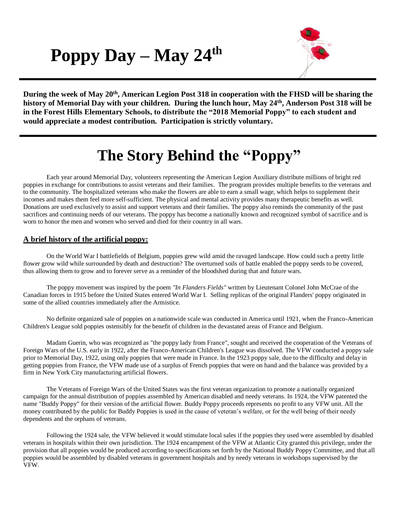**Poppy Day – May 24 th**



During the week of May 20<sup>th</sup>, American Legion Post 318 in cooperation with the FHSD will be sharing the **history of Memorial Day with your children. During the lunch hour, May 24 th, Anderson Post 318 will be in the Forest Hills Elementary Schools, to distribute the "2018 Memorial Poppy" to each student and would appreciate a modest contribution. Participation is strictly voluntary.**

## **The Story Behind the "Poppy"**

Each year around Memorial Day, volunteers representing the American Legion Auxiliary distribute millions of bright red poppies in exchange for contributions to assist veterans and their families. The program provides multiple benefits to the veterans and to the community. The hospitalized veterans who make the flowers are able to earn a small wage, which helps to supplement their incomes and makes them feel more self-sufficient. The physical and mental activity provides many therapeutic benefits as well. Donations are used exclusively to assist and support veterans and their families. The poppy also reminds the community of the past sacrifices and continuing needs of our veterans. The poppy has become a nationally known and recognized symbol of sacrifice and is worn to honor the men and women who served and died for their country in all wars.

## **A brief history of the artificial poppy:**

On the World War I battlefields of Belgium, poppies grew wild amid the ravaged landscape. How could such a pretty little flower grow wild while surrounded by death and destruction? The overturned soils of battle enabled the poppy seeds to be covered, thus allowing them to grow and to forever serve as a reminder of the bloodshed during that and future wars.

The poppy movement was inspired by the poem *"In Flanders Fields"* written by Lieutenant Colonel John McCrae of the Canadian forces in 1915 before the United States entered World War I. Selling replicas of the original Flanders' poppy originated in some of the allied countries immediately after the Armistice.

No definite organized sale of poppies on a nationwide scale was conducted in America until 1921, when the Franco-American Children's League sold poppies ostensibly for the benefit of children in the devastated areas of France and Belgium.

Madam Guerin, who was recognized as "the poppy lady from France", sought and received the cooperation of the Veterans of Foreign Wars of the U.S. early in 1922, after the Franco-American Children's League was dissolved. The VFW conducted a poppy sale prior to Memorial Day, 1922, using only poppies that were made in France. In the 1923 poppy sale, due to the difficulty and delay in getting poppies from France, the VFW made use of a surplus of French poppies that were on hand and the balance was provided by a firm in New York City manufacturing artificial flowers.

The Veterans of Foreign Wars of the United States was the first veteran organization to promote a nationally organized campaign for the annual distribution of poppies assembled by American disabled and needy veterans. In 1924, the VFW patented the name "Buddy Poppy" for their version of the artificial flower. Buddy Poppy proceeds represents no profit to any VFW unit. All the money contributed by the public for Buddy Poppies is used in the cause of veteran's welfare, or for the well being of their needy dependents and the orphans of veterans.

Following the 1924 sale, the VFW believed it would stimulate local sales if the poppies they used were assembled by disabled veterans in hospitals within their own jurisdiction. The 1924 encampment of the VFW at Atlantic City granted this privilege, under the provision that all poppies would be produced according to specifications set forth by the National Buddy Poppy Committee, and that all poppies would be assembled by disabled veterans in government hospitals and by needy veterans in workshops supervised by the VFW.